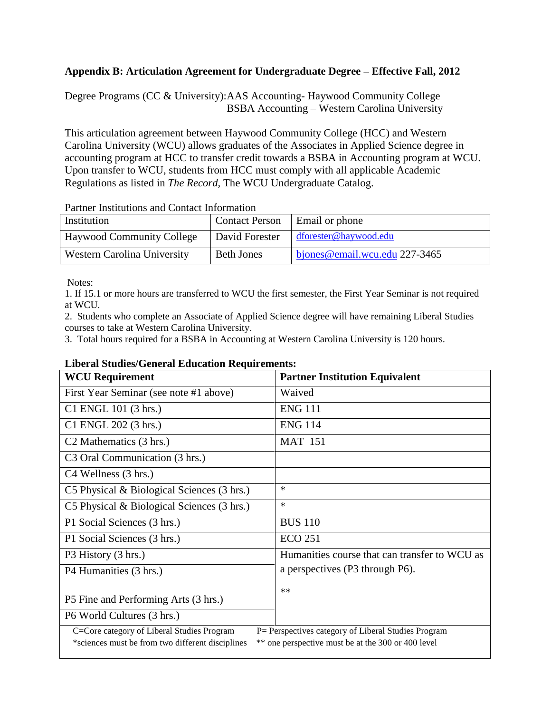## **Appendix B: Articulation Agreement for Undergraduate Degree – Effective Fall, 2012**

Degree Programs (CC & University):AAS Accounting- Haywood Community College BSBA Accounting – Western Carolina University

This articulation agreement between Haywood Community College (HCC) and Western Carolina University (WCU) allows graduates of the Associates in Applied Science degree in accounting program at HCC to transfer credit towards a BSBA in Accounting program at WCU. Upon transfer to WCU, students from HCC must comply with all applicable Academic Regulations as listed in *The Record,* The WCU Undergraduate Catalog.

| Turnol montunono unu comuci mromunon |                       |                               |  |  |
|--------------------------------------|-----------------------|-------------------------------|--|--|
| Institution                          | <b>Contact Person</b> | Email or phone                |  |  |
| <b>Haywood Community College</b>     | David Forester        | dforester@haywood.edu         |  |  |
| <b>Western Carolina University</b>   | <b>Beth Jones</b>     | biones@email.wcu.edu 227-3465 |  |  |

Partner Institutions and Contact Information

Notes:

1. If 15.1 or more hours are transferred to WCU the first semester, the First Year Seminar is not required at WCU.

2. Students who complete an Associate of Applied Science degree will have remaining Liberal Studies courses to take at Western Carolina University.

3. Total hours required for a BSBA in Accounting at Western Carolina University is 120 hours.

## **Liberal Studies/General Education Requirements:**

| <b>WCU Requirement</b>                                                                                 | <b>Partner Institution Equivalent</b>         |  |  |
|--------------------------------------------------------------------------------------------------------|-----------------------------------------------|--|--|
| First Year Seminar (see note #1 above)                                                                 | Waived                                        |  |  |
| C1 ENGL 101 (3 hrs.)                                                                                   | <b>ENG 111</b>                                |  |  |
| C1 ENGL 202 (3 hrs.)                                                                                   | <b>ENG 114</b>                                |  |  |
| C <sub>2</sub> Mathematics (3 hrs.)                                                                    | <b>MAT 151</b>                                |  |  |
| C <sub>3</sub> Oral Communication (3 hrs.)                                                             |                                               |  |  |
| C4 Wellness (3 hrs.)                                                                                   |                                               |  |  |
| C5 Physical $\&$ Biological Sciences (3 hrs.)                                                          | $\ast$                                        |  |  |
| C5 Physical & Biological Sciences (3 hrs.)                                                             | $\ast$                                        |  |  |
| P1 Social Sciences (3 hrs.)                                                                            | <b>BUS 110</b>                                |  |  |
| P1 Social Sciences (3 hrs.)                                                                            | <b>ECO 251</b>                                |  |  |
| P3 History (3 hrs.)                                                                                    | Humanities course that can transfer to WCU as |  |  |
| P4 Humanities (3 hrs.)                                                                                 | a perspectives (P3 through P6).               |  |  |
|                                                                                                        | $**$                                          |  |  |
| P5 Fine and Performing Arts (3 hrs.)                                                                   |                                               |  |  |
| P6 World Cultures (3 hrs.)                                                                             |                                               |  |  |
| C=Core category of Liberal Studies Program<br>P = Perspectives category of Liberal Studies Program     |                                               |  |  |
| ** one perspective must be at the 300 or 400 level<br>*sciences must be from two different disciplines |                                               |  |  |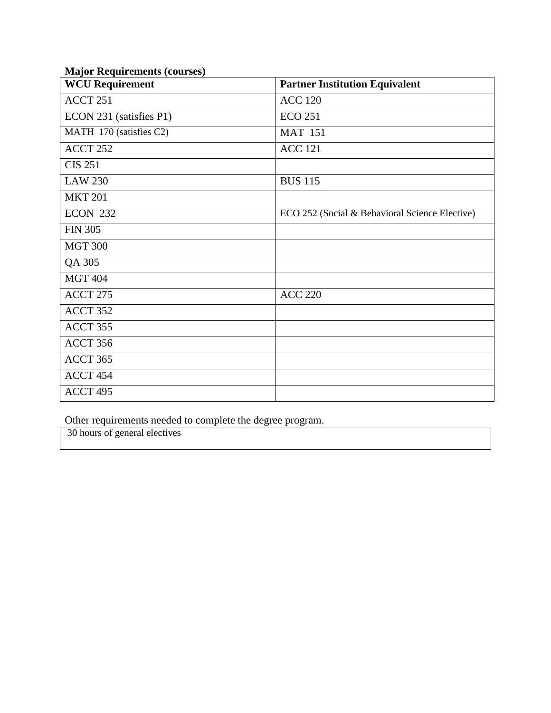| <b>WCU Requirement</b>  | <b>Partner Institution Equivalent</b>          |
|-------------------------|------------------------------------------------|
| ACCT 251                | <b>ACC 120</b>                                 |
| ECON 231 (satisfies P1) | <b>ECO 251</b>                                 |
| MATH 170 (satisfies C2) | <b>MAT 151</b>                                 |
| ACCT 252                | <b>ACC 121</b>                                 |
| <b>CIS 251</b>          |                                                |
| <b>LAW 230</b>          | <b>BUS 115</b>                                 |
| <b>MKT 201</b>          |                                                |
| <b>ECON 232</b>         | ECO 252 (Social & Behavioral Science Elective) |
| <b>FIN 305</b>          |                                                |
| <b>MGT 300</b>          |                                                |
| QA 305                  |                                                |
| <b>MGT 404</b>          |                                                |
| ACCT 275                | <b>ACC 220</b>                                 |
| ACCT 352                |                                                |
| ACCT 355                |                                                |
| ACCT 356                |                                                |
| ACCT 365                |                                                |
| ACCT 454                |                                                |
| ACCT 495                |                                                |

## **Major Requirements (courses)**

Other requirements needed to complete the degree program.

30 hours of general electives